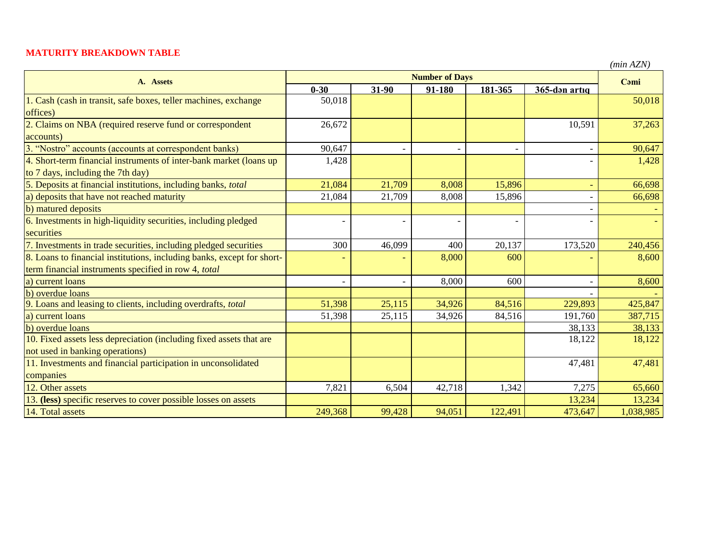## **MATURITY BREAKDOWN TABLE**

*(min AZN)*

| A. Assets                                                              | <b>Number of Days</b> |                          |        |         |                          | Cami      |
|------------------------------------------------------------------------|-----------------------|--------------------------|--------|---------|--------------------------|-----------|
|                                                                        | $0 - 30$              | $31 - 90$                | 91-180 | 181-365 | 365-dan artiq            |           |
| 1. Cash (cash in transit, safe boxes, teller machines, exchange        | 50,018                |                          |        |         |                          | 50,018    |
| offices)                                                               |                       |                          |        |         |                          |           |
| 2. Claims on NBA (required reserve fund or correspondent               | 26,672                |                          |        |         | 10,591                   | 37,263    |
| accounts)                                                              |                       |                          |        |         |                          |           |
| 3. "Nostro" accounts (accounts at correspondent banks)                 | 90,647                |                          |        |         | $\overline{\phantom{0}}$ | 90,647    |
| 4. Short-term financial instruments of inter-bank market (loans up     | 1,428                 |                          |        |         |                          | 1,428     |
| to 7 days, including the 7th day)                                      |                       |                          |        |         |                          |           |
| 5. Deposits at financial institutions, including banks, total          | 21,084                | 21,709                   | 8,008  | 15,896  | $\overline{\phantom{a}}$ | 66,698    |
| a) deposits that have not reached maturity                             | 21,084                | 21,709                   | 8,008  | 15,896  |                          | 66,698    |
| b) matured deposits                                                    |                       |                          |        |         |                          |           |
| 6. Investments in high-liquidity securities, including pledged         |                       |                          |        |         |                          |           |
| securities                                                             |                       |                          |        |         |                          |           |
| 7. Investments in trade securities, including pledged securities       | 300                   | 46,099                   | 400    | 20,137  | 173,520                  | 240,456   |
| 8. Loans to financial institutions, including banks, except for short- |                       |                          | 8,000  | 600     |                          | 8,600     |
| term financial instruments specified in row 4, total                   |                       |                          |        |         |                          |           |
| a) current loans                                                       |                       | $\overline{\phantom{a}}$ | 8,000  | 600     |                          | 8,600     |
| b) overdue loans                                                       |                       |                          |        |         |                          |           |
| 9. Loans and leasing to clients, including overdrafts, total           | 51,398                | 25,115                   | 34,926 | 84,516  | 229,893                  | 425,847   |
| a) current loans                                                       | 51,398                | 25,115                   | 34,926 | 84,516  | 191,760                  | 387,715   |
| b) overdue loans                                                       |                       |                          |        |         | 38,133                   | 38,133    |
| 10. Fixed assets less depreciation (including fixed assets that are    |                       |                          |        |         | 18,122                   | 18,122    |
| not used in banking operations)                                        |                       |                          |        |         |                          |           |
| 11. Investments and financial participation in unconsolidated          |                       |                          |        |         | 47,481                   | 47,481    |
| companies                                                              |                       |                          |        |         |                          |           |
| 12. Other assets                                                       | 7,821                 | 6,504                    | 42,718 | 1,342   | 7,275                    | 65,660    |
| 13. (less) specific reserves to cover possible losses on assets        |                       |                          |        |         | 13,234                   | 13,234    |
| 14. Total assets                                                       | 249,368               | 99,428                   | 94,051 | 122,491 | 473,647                  | 1,038,985 |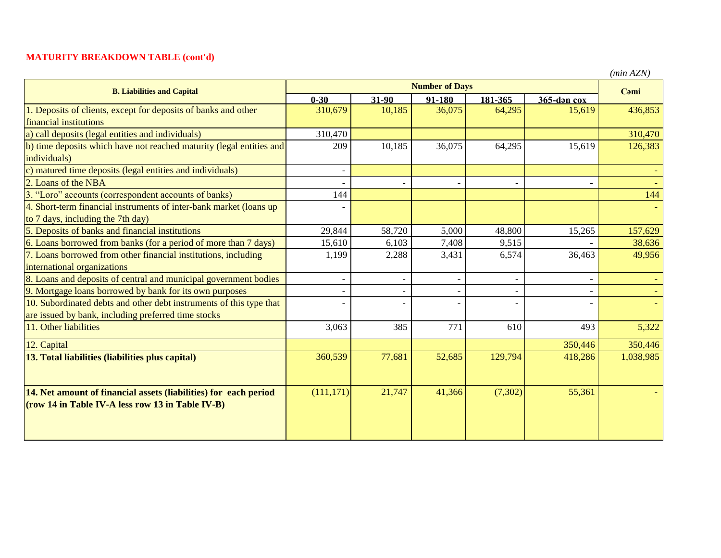## **MATURITY BREAKDOWN TABLE (cont'd)**

| <b>B. Liabilities and Capital</b>                                    | <b>Number of Days</b> |                          |        |          |             | Cami      |
|----------------------------------------------------------------------|-----------------------|--------------------------|--------|----------|-------------|-----------|
|                                                                      | $0 - 30$              | 31-90                    | 91-180 | 181-365  | 365-dan cox |           |
| 1. Deposits of clients, except for deposits of banks and other       | 310,679               | 10,185                   | 36,075 | 64,295   | 15,619      | 436,853   |
| financial institutions                                               |                       |                          |        |          |             |           |
| a) call deposits (legal entities and individuals)                    | 310,470               |                          |        |          |             | 310,470   |
| b) time deposits which have not reached maturity (legal entities and | 209                   | 10,185                   | 36,075 | 64,295   | 15,619      | 126,383   |
| individuals)                                                         |                       |                          |        |          |             |           |
| c) matured time deposits (legal entities and individuals)            |                       |                          |        |          |             |           |
| 2. Loans of the NBA                                                  |                       |                          |        |          |             |           |
| 3. "Loro" accounts (correspondent accounts of banks)                 | 144                   |                          |        |          |             | 144       |
| 4. Short-term financial instruments of inter-bank market (loans up   |                       |                          |        |          |             |           |
| to 7 days, including the 7th day)                                    |                       |                          |        |          |             |           |
| 5. Deposits of banks and financial institutions                      | 29,844                | 58,720                   | 5,000  | 48,800   | 15,265      | 157,629   |
| 6. Loans borrowed from banks (for a period of more than 7 days)      | 15,610                | 6,103                    | 7,408  | 9,515    |             | 38,636    |
| 7. Loans borrowed from other financial institutions, including       | 1,199                 | 2,288                    | 3,431  | 6,574    | 36,463      | 49,956    |
| international organizations                                          |                       |                          |        |          |             |           |
| 8. Loans and deposits of central and municipal government bodies     |                       | $\overline{a}$           |        |          |             |           |
| 9. Mortgage loans borrowed by bank for its own purposes              |                       |                          |        |          |             |           |
| 10. Subordinated debts and other debt instruments of this type that  |                       | $\overline{\phantom{0}}$ |        |          |             |           |
| are issued by bank, including preferred time stocks                  |                       |                          |        |          |             |           |
| 11. Other liabilities                                                | 3,063                 | 385                      | 771    | 610      | 493         | 5,322     |
| 12. Capital                                                          |                       |                          |        |          | 350,446     | 350,446   |
| 13. Total liabilities (liabilities plus capital)                     | 360,539               | 77,681                   | 52,685 | 129,794  | 418,286     | 1,038,985 |
|                                                                      |                       |                          |        |          |             |           |
| 14. Net amount of financial assets (liabilities) for each period     | (111, 171)            | 21,747                   | 41,366 | (7, 302) | 55,361      |           |
| (row 14 in Table IV-A less row 13 in Table IV-B)                     |                       |                          |        |          |             |           |

*(min AZN)*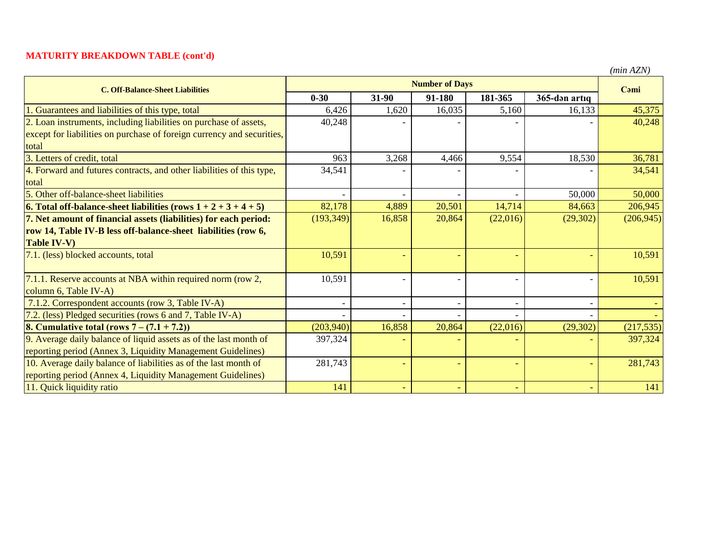## **MATURITY BREAKDOWN TABLE (cont'd)**

*(min AZN)*

| <b>C. Off-Balance-Sheet Liabilities</b>                                   | <b>Number of Days</b> |                          |        |          |               | Cami       |
|---------------------------------------------------------------------------|-----------------------|--------------------------|--------|----------|---------------|------------|
|                                                                           | $0 - 30$              | $31-90$                  | 91-180 | 181-365  | 365-dən artıq |            |
| Guarantees and liabilities of this type, total                            | 6,426                 | 1,620                    | 16,035 | 5,160    | 16,133        | 45,375     |
| 2. Loan instruments, including liabilities on purchase of assets,         | 40,248                |                          |        |          |               | 40,248     |
| except for liabilities on purchase of foreign currency and securities,    |                       |                          |        |          |               |            |
| total                                                                     |                       |                          |        |          |               |            |
| 3. Letters of credit, total                                               | 963                   | 3,268                    | 4,466  | 9,554    | 18,530        | 36,781     |
| 4. Forward and futures contracts, and other liabilities of this type,     | 34,541                |                          |        |          |               | 34,541     |
| total                                                                     |                       |                          |        |          |               |            |
| 5. Other off-balance-sheet liabilities                                    |                       |                          |        |          | 50,000        | 50,000     |
| <b>6.</b> Total off-balance-sheet liabilities (rows $1 + 2 + 3 + 4 + 5$ ) | 82,178                | 4,889                    | 20,501 | 14,714   | 84,663        | 206,945    |
| 7. Net amount of financial assets (liabilities) for each period:          | (193, 349)            | 16,858                   | 20,864 | (22,016) | (29, 302)     | (206, 945) |
| row 14, Table IV-B less off-balance-sheet liabilities (row 6,             |                       |                          |        |          |               |            |
| <b>Table IV-V)</b>                                                        |                       |                          |        |          |               |            |
| 7.1. (less) blocked accounts, total                                       | 10,591                | $\overline{\phantom{a}}$ |        |          |               | 10,591     |
| 7.1.1. Reserve accounts at NBA within required norm (row 2,               | 10,591                |                          |        |          |               | 10,591     |
| column 6, Table IV-A)                                                     |                       |                          |        |          |               |            |
| 7.1.2. Correspondent accounts (row 3, Table IV-A)                         |                       |                          |        |          |               |            |
| 7.2. (less) Pledged securities (rows 6 and 7, Table IV-A)                 |                       |                          |        |          |               |            |
| <b>8. Cumulative total (rows 7 – <math>(7.1 + 7.2)</math>)</b>            | (203, 940)            | 16,858                   | 20,864 | (22,016) | (29, 302)     | (217, 535) |
| 9. Average daily balance of liquid assets as of the last month of         | 397,324               |                          |        |          |               | 397,324    |
| reporting period (Annex 3, Liquidity Management Guidelines)               |                       |                          |        |          |               |            |
| 10. Average daily balance of liabilities as of the last month of          | 281,743               | $\overline{\phantom{0}}$ |        |          |               | 281,743    |
| reporting period (Annex 4, Liquidity Management Guidelines)               |                       |                          |        |          |               |            |
| 11. Quick liquidity ratio                                                 | 141                   | $\equiv$                 |        |          |               | 141        |